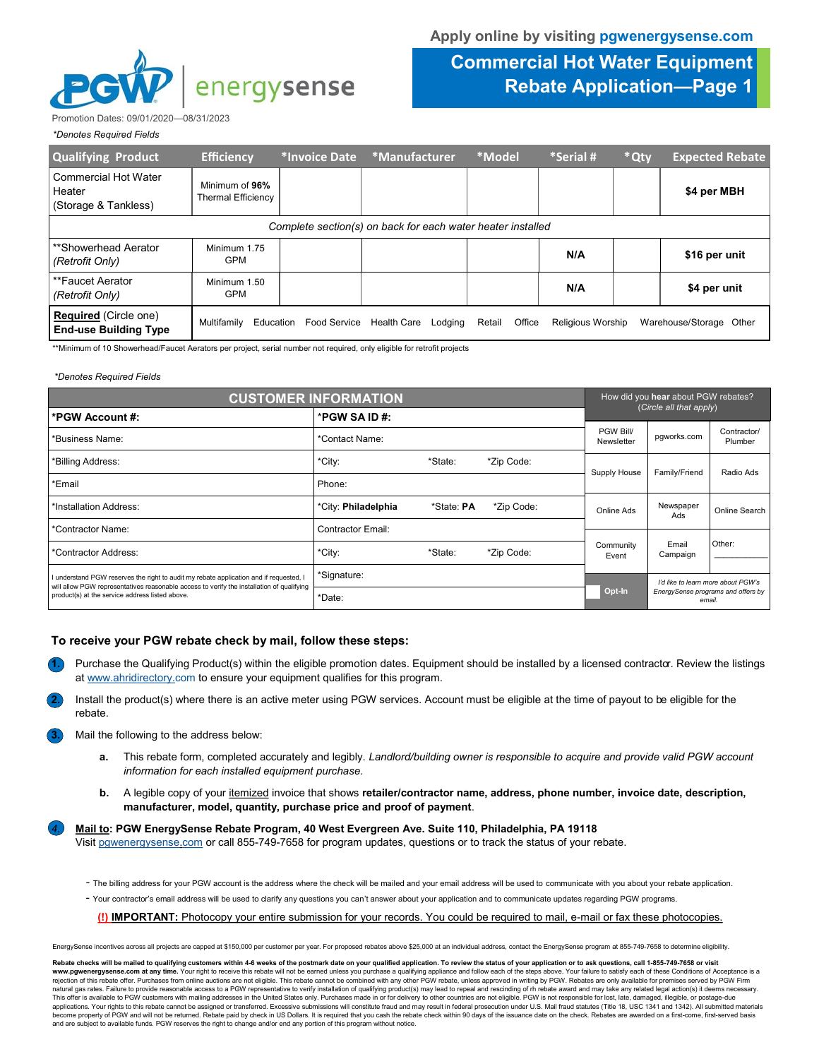

## **Commercial Hot Water Equipment Rebate Application—Page 1**

Promotion Dates: 09/01/2020—08/31/2023

| *Denotes Required Fields |  |
|--------------------------|--|
|                          |  |

| <b>Qualifying Product</b>                                    | <b>Efficiency</b>                           | *Invoice Date       | *Manufacturer          | *Model           | *Serial #         | * Qty | <b>Expected Rebate</b>     |
|--------------------------------------------------------------|---------------------------------------------|---------------------|------------------------|------------------|-------------------|-------|----------------------------|
| Commercial Hot Water<br>Heater<br>(Storage & Tankless)       | Minimum of 96%<br><b>Thermal Efficiency</b> |                     |                        |                  |                   |       | \$4 per MBH                |
| Complete section(s) on back for each water heater installed  |                                             |                     |                        |                  |                   |       |                            |
| **Showerhead Aerator<br>(Retrofit Only)                      | Minimum 1.75<br><b>GPM</b>                  |                     |                        |                  | N/A               |       | \$16 per unit              |
| **Faucet Aerator<br>(Retrofit Only)                          | Minimum 1.50<br><b>GPM</b>                  |                     |                        |                  | N/A               |       | \$4 per unit               |
| <b>Required</b> (Circle one)<br><b>End-use Building Type</b> | Education<br>Multifamily                    | <b>Food Service</b> | Health Care<br>Lodging | Office<br>Retail | Religious Worship |       | Warehouse/Storage<br>Other |

\*\*Minimum of 10 Showerhead/Faucet Aerators per project, serial number not required, only eligible for retrofit projects

## *\*Denotes Required Fields*

| <b>CUSTOMER INFORMATION</b>                                                                                                                  |                                           |            |              | How did you hear about PGW rebates? |                         |                                    |  |
|----------------------------------------------------------------------------------------------------------------------------------------------|-------------------------------------------|------------|--------------|-------------------------------------|-------------------------|------------------------------------|--|
| *PGW SA ID#:<br>*PGW Account #:                                                                                                              |                                           |            |              |                                     | (Circle all that apply) |                                    |  |
| *Business Name:                                                                                                                              | *Contact Name:                            |            |              | PGW Bill/<br>Newsletter             | pqworks.com             | Contractor/<br>Plumber             |  |
| *Billing Address:                                                                                                                            | *City:<br>*State:<br>*Zip Code:<br>Phone: |            |              |                                     |                         |                                    |  |
| *Email                                                                                                                                       |                                           |            | Supply House | Family/Friend                       | Radio Ads               |                                    |  |
| *Installation Address:                                                                                                                       | *City: Philadelphia                       | *State: PA | *Zip Code:   | Online Ads                          | Newspaper<br>Ads        | Online Search                      |  |
| *Contractor Name:                                                                                                                            | <b>Contractor Email:</b>                  |            |              |                                     |                         |                                    |  |
| *Contractor Address:                                                                                                                         | *City:                                    | *State:    | *Zip Code:   | Community<br>Event                  | Email<br>Campaign       | Other:                             |  |
| understand PGW reserves the right to audit my rebate application and if requested, I                                                         | *Signature:                               |            |              | I'd like to learn more about PGW's  |                         |                                    |  |
| will allow PGW representatives reasonable access to verify the installation of qualifying<br>product(s) at the service address listed above. | *Date:                                    |            |              | Opt-In                              | email                   | EnergySense programs and offers by |  |

## **To receive your PGW rebate check by mail, follow these steps:**

- **1.** Purchase the Qualifying Product(s) within the eligible promotion dates. Equipment should be installed by a licensed contractor. Review the listings at www.ahridirectory.com to ensure your equipment qualifies for this program.
- **2.** Install the product(s) where there is an active meter using PGW services. Account must be eligible at the time of payout to be eligible for the rebate.
- **3.** Mail the following to the address below:
	- **a.** This rebate form, completed accurately and legibly. *Landlord/building owner is responsible to acquire and provide valid PGW account information for each installed equipment purchase.*
	- **b.** A legible copy of your itemized invoice that shows **retailer/contractor name, address, phone number, invoice date, description, manufacturer, model, quantity, purchase price and proof of payment**.

*4.* **Mail to: PGW EnergySense Rebate Program, 40 West Evergreen Ave. Suite 110, Philadelphia, PA 19118**

Visit pgwenergysense.com or call 855-749-7658 for program updates, questions or to track the status of your rebate.

- The billing address for your PGW account is the address where the check will be mailed and your email address will be used to communicate with you about your rebate application.
- Your contractor's email address will be used to clarify any questions you can't answer about your application and to communicate updates regarding PGW programs.

**(!) IMPORTANT:** Photocopy your entire submission for your records. You could be required to mail, e-mail or fax these photocopies.

EnergySense incentives across all projects are capped at \$150,000 per customer per year. For proposed rebates above \$25,000 at an individual address, contact the EnergySense program at 855-749-7658 to determine eligibility

Rebate checks will be mailed to qualifying customers within 4-6 weeks of the postmark date on your qualified application. To review the status of your application or to ask questions, call 1-855-749-7658 or visit<br>www.pgwen rejection of this rebate offer. Purchases from online auctions are not eligible. This rebate cannot be combined with any other PGW rebate, unless approved in writing by PGW. Rebates are only available for premises served b natural gas rates. Failure to provide reasonable access to a PGW representative to verify installation of qualifying product(s) may lead to repeal and rescinding of m rebate award and may take any related legal action(s) i This offer is available to PGW customers with mailing addresses in the United States only. Purchases made in or for delivery to other countries are not eligible. PGW is not responsible for lost, late, damaged, illegible, o become property of PGW and will not be returned. Rebate paid by check in US Dollars. It is required that you cash the rebate check within 90 days of the issuance date on the check. Rebates are awarded on a first-come, firs